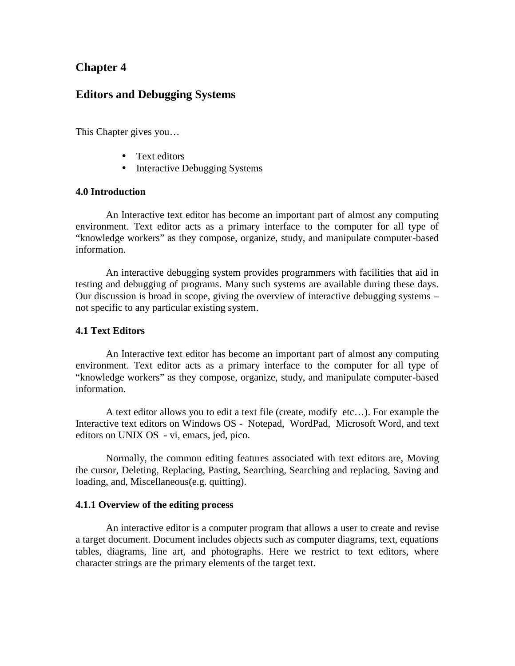# **Chapter 4**

# **Editors and Debugging Systems**

This Chapter gives you…

- Text editors
- Interactive Debugging Systems

## **4.0 Introduction**

An Interactive text editor has become an important part of almost any computing environment. Text editor acts as a primary interface to the computer for all type of "knowledge workers" as they compose, organize, study, and manipulate computer-based information.

An interactive debugging system provides programmers with facilities that aid in testing and debugging of programs. Many such systems are available during these days. Our discussion is broad in scope, giving the overview of interactive debugging systems – not specific to any particular existing system.

### **4.1 Text Editors**

An Interactive text editor has become an important part of almost any computing environment. Text editor acts as a primary interface to the computer for all type of "knowledge workers" as they compose, organize, study, and manipulate computer-based information.

A text editor allows you to edit a text file (create, modify etc…). For example the Interactive text editors on Windows OS - Notepad, WordPad, Microsoft Word, and text editors on UNIX OS - vi, emacs, jed, pico.

Normally, the common editing features associated with text editors are, Moving the cursor, Deleting, Replacing, Pasting, Searching, Searching and replacing, Saving and loading, and, Miscellaneous(e.g. quitting).

#### **4.1.1 Overview of the editing process**

An interactive editor is a computer program that allows a user to create and revise a target document. Document includes objects such as computer diagrams, text, equations tables, diagrams, line art, and photographs. Here we restrict to text editors, where character strings are the primary elements of the target text.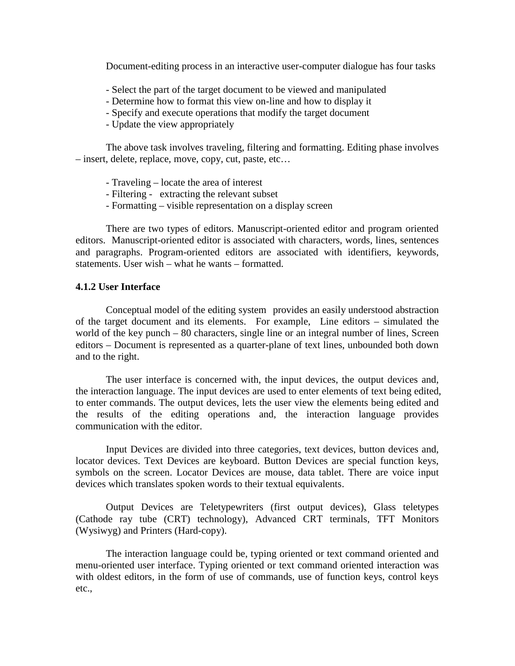Document-editing process in an interactive user-computer dialogue has four tasks

- Select the part of the target document to be viewed and manipulated
- Determine how to format this view on-line and how to display it
- Specify and execute operations that modify the target document
- Update the view appropriately

The above task involves traveling, filtering and formatting. Editing phase involves – insert, delete, replace, move, copy, cut, paste, etc…

- Traveling locate the area of interest
- Filtering extracting the relevant subset
- Formatting visible representation on a display screen

There are two types of editors. Manuscript-oriented editor and program oriented editors. Manuscript-oriented editor is associated with characters, words, lines, sentences and paragraphs. Program-oriented editors are associated with identifiers, keywords, statements. User wish – what he wants – formatted.

#### **4.1.2 User Interface**

Conceptual model of the editing system provides an easily understood abstraction of the target document and its elements. For example, Line editors – simulated the world of the key punch – 80 characters, single line or an integral number of lines, Screen editors – Document is represented as a quarter-plane of text lines, unbounded both down and to the right.

The user interface is concerned with, the input devices, the output devices and, the interaction language. The input devices are used to enter elements of text being edited, to enter commands. The output devices, lets the user view the elements being edited and the results of the editing operations and, the interaction language provides communication with the editor.

Input Devices are divided into three categories, text devices, button devices and, locator devices. Text Devices are keyboard. Button Devices are special function keys, symbols on the screen. Locator Devices are mouse, data tablet. There are voice input devices which translates spoken words to their textual equivalents.

Output Devices are Teletypewriters (first output devices), Glass teletypes (Cathode ray tube (CRT) technology), Advanced CRT terminals, TFT Monitors (Wysiwyg) and Printers (Hard-copy).

The interaction language could be, typing oriented or text command oriented and menu-oriented user interface. Typing oriented or text command oriented interaction was with oldest editors, in the form of use of commands, use of function keys, control keys etc.,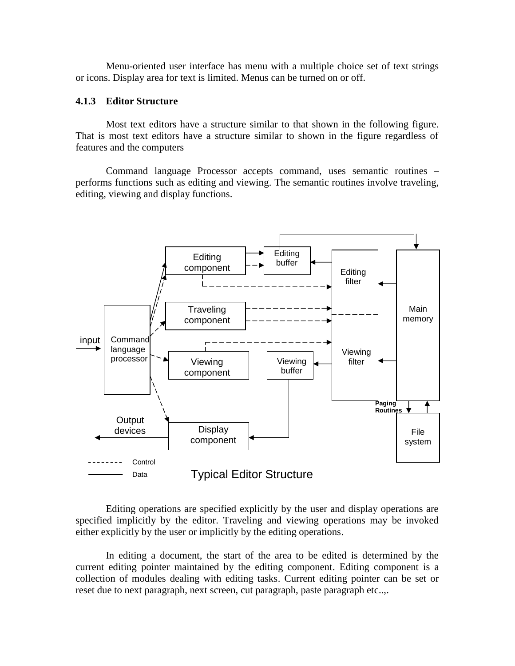Menu-oriented user interface has menu with a multiple choice set of text strings or icons. Display area for text is limited. Menus can be turned on or off.

## **4.1.3 Editor Structure**

Most text editors have a structure similar to that shown in the following figure. That is most text editors have a structure similar to shown in the figure regardless of features and the computers

Command language Processor accepts command, uses semantic routines – performs functions such as editing and viewing. The semantic routines involve traveling, editing, viewing and display functions.



Editing operations are specified explicitly by the user and display operations are specified implicitly by the editor. Traveling and viewing operations may be invoked either explicitly by the user or implicitly by the editing operations.

In editing a document, the start of the area to be edited is determined by the current editing pointer maintained by the editing component. Editing component is a collection of modules dealing with editing tasks. Current editing pointer can be set or reset due to next paragraph, next screen, cut paragraph, paste paragraph etc..,.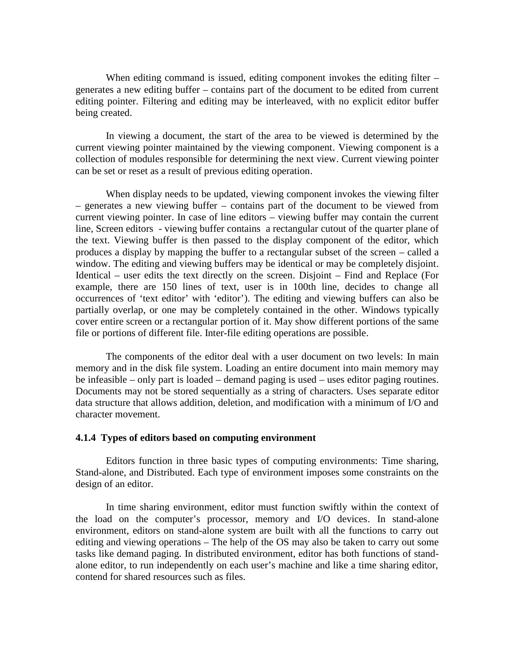When editing command is issued, editing component invokes the editing filter – generates a new editing buffer – contains part of the document to be edited from current editing pointer. Filtering and editing may be interleaved, with no explicit editor buffer being created.

In viewing a document, the start of the area to be viewed is determined by the current viewing pointer maintained by the viewing component. Viewing component is a collection of modules responsible for determining the next view. Current viewing pointer can be set or reset as a result of previous editing operation.

When display needs to be updated, viewing component invokes the viewing filter – generates a new viewing buffer – contains part of the document to be viewed from current viewing pointer. In case of line editors – viewing buffer may contain the current line, Screen editors - viewing buffer contains a rectangular cutout of the quarter plane of the text. Viewing buffer is then passed to the display component of the editor, which produces a display by mapping the buffer to a rectangular subset of the screen – called a window. The editing and viewing buffers may be identical or may be completely disjoint. Identical – user edits the text directly on the screen. Disjoint – Find and Replace (For example, there are 150 lines of text, user is in 100th line, decides to change all occurrences of 'text editor' with 'editor'). The editing and viewing buffers can also be partially overlap, or one may be completely contained in the other. Windows typically cover entire screen or a rectangular portion of it. May show different portions of the same file or portions of different file. Inter-file editing operations are possible.

The components of the editor deal with a user document on two levels: In main memory and in the disk file system. Loading an entire document into main memory may be infeasible – only part is loaded – demand paging is used – uses editor paging routines. Documents may not be stored sequentially as a string of characters. Uses separate editor data structure that allows addition, deletion, and modification with a minimum of I/O and character movement.

#### **4.1.4 Types of editors based on computing environment**

Editors function in three basic types of computing environments: Time sharing, Stand-alone, and Distributed. Each type of environment imposes some constraints on the design of an editor.

In time sharing environment, editor must function swiftly within the context of the load on the computer's processor, memory and I/O devices. In stand-alone environment, editors on stand-alone system are built with all the functions to carry out editing and viewing operations – The help of the OS may also be taken to carry out some tasks like demand paging. In distributed environment, editor has both functions of stand alone editor, to run independently on each user's machine and like a time sharing editor, contend for shared resources such as files.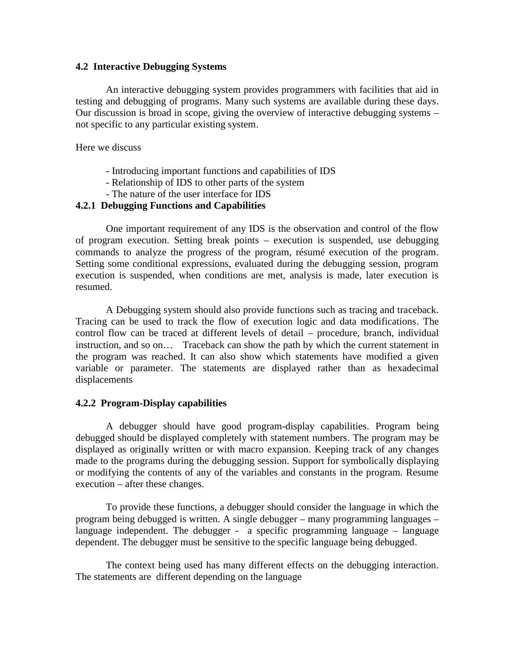### **4.2 Interactive Debugging Systems**

An interactive debugging system provides programmers with facilities that aid in testing and debugging of programs. Many such systems are available during these days. Our discussion is broad in scope, giving the overview of interactive debugging systems – not specific to any particular existing system.

Here we discuss

- Introducing important functions and capabilities of IDS
- Relationship of IDS to other parts of the system
- The nature of the user interface for IDS

# **4.2.1 Debugging Functions and Capabilities**

One important requirement of any IDS is the observation and control of the flow of program execution. Setting break points – execution is suspended, use debugging commands to analyze the progress of the program, résumé execution of the program. Setting some conditional expressions, evaluated during the debugging session, program execution is suspended, when conditions are met, analysis is made, later execution is resumed.<br>A Debugging system should also provide functions such as tracing and traceback.

Tracing can be used to track the flow of execution logic and data modifications. The control flow can be traced at different levels of detail – procedure, branch, individual instruction, and so on… Traceback can show the path by which the current statement in the program was reached. It can also show which statements have modified a given variable or parameter. The statements are displayed rather than as hexadecimal displacements

# **4.2.2 Program-Display capabilities**

A debugger should have good program-display capabilities. Program being debugged should be displayed completely with statement numbers. The program may be displayed as originally written or with macro expansion. Keeping track of any changes made to the programs during the debugging session. Support for symbolically displaying or modifying the contents of any of the variables and constants in the program. Resume execution – after these changes.

To provide these functions, a debugger should consider the language in which the program being debugged is written. A single debugger – many programming languages – language independent. The debugger - a specific programming language – language dependent. The debugger must be sensitive to the specific language being debugged.

The context being used has many different effects on the debugging interaction. The statements are different depending on the language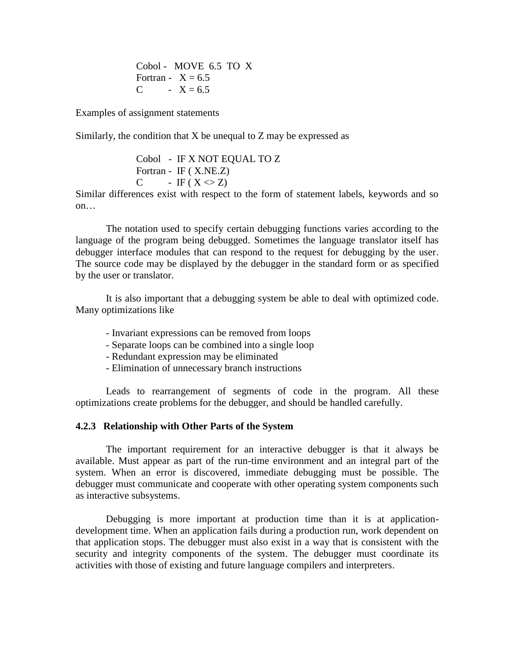Cobol - MOVE 6.5 TO X Fortran -  $X = 6.5$ C -  $X = 6.5$ 

Examples of assignment statements

Similarly, the condition that  $X$  be unequal to  $Z$  may be expressed as

Cobol - IF X NOT EQUAL TO Z Fortran - IF ( X.NE.Z) C - IF  $(X \leq Z)$ 

Similar differences exist with respect to the form of statement labels, keywords and so on…

The notation used to specify certain debugging functions varies according to the language of the program being debugged. Sometimes the language translator itself has debugger interface modules that can respond to the request for debugging by the user. The source code may be displayed by the debugger in the standard form or as specified by the user or translator.

It is also important that a debugging system be able to deal with optimized code. Many optimizations like

- Invariant expressions can be removed from loops
- Separate loops can be combined into a single loop
- Redundant expression may be eliminated
- Elimination of unnecessary branch instructions

Leads to rearrangement of segments of code in the program. All these optimizations create problems for the debugger, and should be handled carefully.

# **4.2.3 Relationship with Other Parts of the System**

The important requirement for an interactive debugger is that it always be available. Must appear as part of the run-time environment and an integral part of the system. When an error is discovered, immediate debugging must be possible. The debugger must communicate and cooperate with other operating system components such as interactive subsystems.

Debugging is more important at production time than it is at application development time. When an application fails during a production run, work dependent on that application stops. The debugger must also exist in a way that is consistent with the security and integrity components of the system. The debugger must coordinate its activities with those of existing and future language compilers and interpreters.